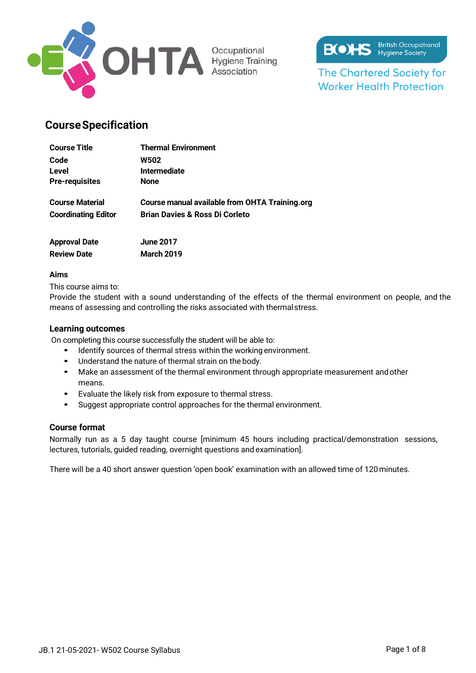



**The Chartered Society for Worker Health Protection** 

## **CourseSpecification**

| <b>Course Title</b>        | <b>Thermal Environment</b>                     |
|----------------------------|------------------------------------------------|
| Code                       | <b>W502</b>                                    |
| Level                      | <b>Intermediate</b>                            |
| <b>Pre-requisites</b>      | <b>None</b>                                    |
| <b>Course Material</b>     | Course manual available from OHTA Training.org |
| <b>Coordinating Editor</b> | <b>Brian Davies &amp; Ross Di Corleto</b>      |
| <b>Approval Date</b>       | <b>June 2017</b>                               |

| JUIC ZU I         |
|-------------------|
| <b>March 2019</b> |
|                   |

### **Aims**

This course aims to:

Provide the student with a sound understanding of the effects of the thermal environment on people, and the means of assessing and controlling the risks associated with thermalstress.

### **Learning outcomes**

On completing this course successfully the student will be able to:

- Identify sources of thermal stress within the working environment.
- Understand the nature of thermal strain on the body.
- Make an assessment of the thermal environment through appropriate measurement andother means.
- Evaluate the likely risk from exposure to thermal stress.
- Suggest appropriate control approaches for the thermal environment.

### **Course format**

Normally run as a 5 day taught course [minimum 45 hours including practical/demonstration sessions, lectures, tutorials, guided reading, overnight questions and examination].

There will be a 40 short answer question 'open book' examination with an allowed time of 120minutes.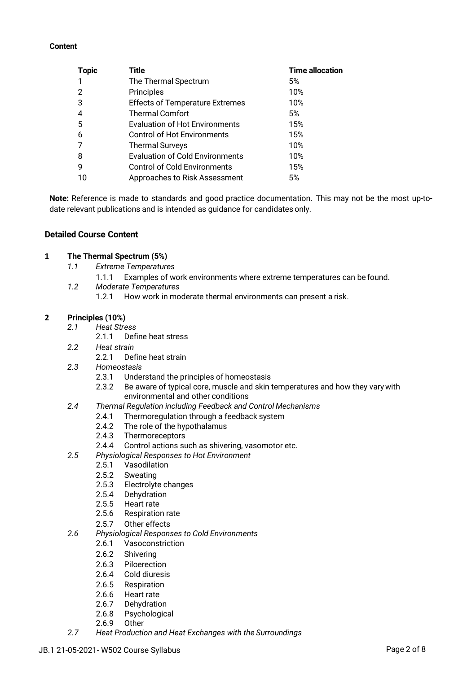#### **Content**

| <b>Topic</b> | Title                                  | <b>Time allocation</b> |
|--------------|----------------------------------------|------------------------|
|              | The Thermal Spectrum                   | 5%                     |
| 2            | Principles                             | 10%                    |
| 3            | <b>Effects of Temperature Extremes</b> | 10%                    |
|              | <b>Thermal Comfort</b>                 | 5%                     |
| 5            | <b>Evaluation of Hot Environments</b>  | 15%                    |
| 6            | <b>Control of Hot Environments</b>     | 15%                    |
|              | <b>Thermal Surveys</b>                 | 10%                    |
| 8            | <b>Evaluation of Cold Environments</b> | 10%                    |
| 9            | <b>Control of Cold Environments</b>    | 15%                    |
| 10           | Approaches to Risk Assessment          | 5%                     |

**Note:** Reference is made to standards and good practice documentation. This may not be the most up-todate relevant publications and is intended as guidance for candidates only.

### **Detailed Course Content**

### **1 The Thermal Spectrum (5%)**

- *1.1 Extreme Temperatures*
	- 1.1.1 Examples of work environments where extreme temperatures can be found.
- *1.2 Moderate Temperatures*
	- 1.2.1 How work in moderate thermal environments can present a risk.

### **2 Principles (10%)**

- *2.1 Heat Stress*
	- 2.1.1 Define heat stress
- *2.2 Heat strain*
	- 2.2.1 Define heat strain
- *2.3 Homeostasis*
	- 2.3.1 Understand the principles of homeostasis<br>2.3.2 Be aware of typical core, muscle and skin
	- Be aware of typical core, muscle and skin temperatures and how they vary with environmental and other conditions
- *2.4 Thermal Regulation including Feedback and Control Mechanisms*
	- 2.4.1 Thermoregulation through a feedback system<br>2.4.2 The role of the hypothalamus
	- The role of the hypothalamus
	- 2.4.3 Thermoreceptors
	- 2.4.4 Control actions such as shivering, vasomotor etc.
- *2.5 Physiological Responses to Hot Environment*
	- 2.5.1 Vasodilation
	- 2.5.2 Sweating
	- 2.5.3 Electrolyte changes
	- 2.5.4 Dehydration
	- 2.5.5 Heart rate
	- 2.5.6 Respiration rate
	- 2.5.7 Other effects
- *2.6 Physiological Responses to Cold Environments*
	- 2.6.1 Vasoconstriction
	- 2.6.2 Shivering
	- 2.6.3 Piloerection
	- 2.6.4 Cold diuresis
	- 2.6.5 Respiration
	- 2.6.6 Heart rate
	- 2.6.7 Dehydration
	- 2.6.8 Psychological
	- 2.6.9 Other
- *2.7 Heat Production and Heat Exchanges with the Surroundings*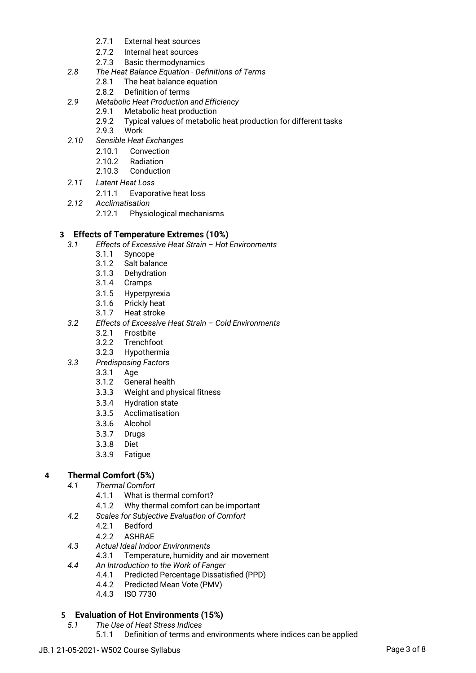- 2.7.1 External heat sources
- 2.7.2 Internal heat sources
- 2.7.3 Basic thermodynamics
- *2.8 The Heat Balance Equation - Definitions of Terms*
	- 2.8.1 The heat balance equation
	- 2.8.2 Definition of terms
- *2.9 Metabolic Heat Production and Efficiency*
	- 2.9.1 Metabolic heat production<br>2.9.2 Typical values of metabolic
	- Typical values of metabolic heat production for different tasks
	- 2.9.3 Work
- *2.10 Sensible Heat Exchanges*
	- 2.10.1 Convection
	- 2.10.2 Radiation
	- 2.10.3 Conduction
- *2.11 Latent Heat Loss*
	- 2.11.1 Evaporative heat loss
- *2.12 Acclimatisation*
	- 2.12.1 Physiological mechanisms

## **3 Effects of Temperature Extremes (10%)**

- *3.1 Effects of Excessive Heat Strain – Hot Environments*
	- 3.1.1 Syncope
	- 3.1.2 Salt balance
	- 3.1.3 Dehydration
	- 3.1.4 Cramps
	- 3.1.5 Hyperpyrexia
	- 3.1.6 Prickly heat
	- 3.1.7 Heat stroke
- *3.2 Effects of Excessive Heat Strain – Cold Environments*
	- 3.2.1 Frostbite
	- 3.2.2 Trenchfoot
	- 3.2.3 Hypothermia
- *3.3 Predisposing Factors*
	- 3.3.1 Age
	- 3.1.2 General health
	- 3.3.3 Weight and physical fitness
	- 3.3.4 Hydration state
	- 3.3.5 Acclimatisation
	- 3.3.6 Alcohol
	- 3.3.7 Drugs
	- 3.3.8 Diet
	- 3.3.9 Fatigue

## **4 Thermal Comfort (5%)**

- *4.1 Thermal Comfort*
	- 4.1.1 What is thermal comfort?
	- 4.1.2 Why thermal comfort can be important
- *4.2 Scales for Subjective Evaluation of Comfort*
	- 4.2.1 Bedford
	- 4.2.2 ASHRAE
- *4.3 Actual Ideal Indoor Environments*
	- 4.3.1 Temperature, humidity and air movement
- *4.4 An Introduction to the Work of Fanger*
	- 4.4.1 Predicted Percentage Dissatisfied (PPD)
	- 4.4.2 Predicted Mean Vote (PMV)
	- 4.4.3 ISO 7730

# **5 Evaluation of Hot Environments (15%)**

- *5.1 The Use of Heat Stress Indices*
	- 5.1.1 Definition of terms and environments where indices can be applied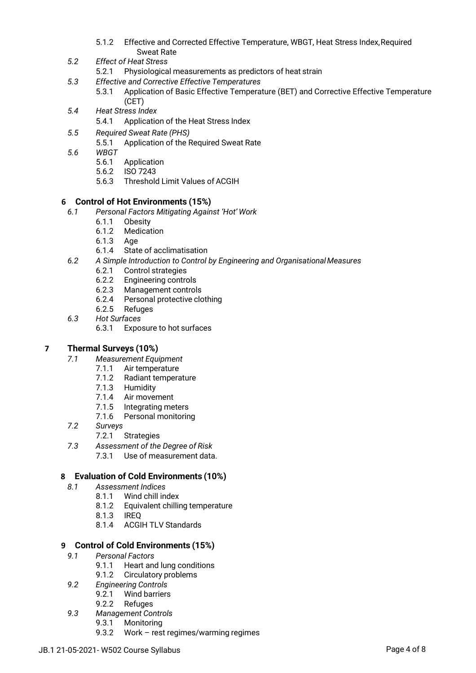- 5.1.2 Effective and Corrected Effective Temperature, WBGT, Heat Stress Index,Required Sweat Rate
- *5.2 Effect of Heat Stress*
	- 5.2.1 Physiological measurements as predictors of heat strain
- *5.3 Effective and Corrective Effective Temperatures*
	- 5.3.1 Application of Basic Effective Temperature (BET) and Corrective Effective Temperature (CET)
- *5.4 Heat Stress Index*
	- 5.4.1 Application of the Heat Stress Index
- *5.5 Required Sweat Rate (PHS)*
	- 5.5.1 Application of the Required Sweat Rate
- *5.6 WBGT*
	- 5.6.1 Application
	- 5.6.2 ISO 7243
	- 5.6.3 Threshold Limit Values of ACGIH

## **6 Control of Hot Environments (15%)**

- *6.1 Personal Factors Mitigating Against 'Hot' Work*
	- 6.1.1 Obesity
		- 6.1.2 Medication
		- 6.1.3 Age
		- 6.1.4 State of acclimatisation
- *6.2 A Simple Introduction to Control by Engineering and OrganisationalMeasures*
	- 6.2.1 Control strategies
	- 6.2.2 Engineering controls
	- 6.2.3 Management controls
	- 6.2.4 Personal protective clothing
	- 6.2.5 Refuges
- *6.3 Hot Surfaces*
	- 6.3.1 Exposure to hot surfaces

## **7 Thermal Surveys (10%)**

- *7.1 Measurement Equipment*
	- 7.1.1 Air temperature
	- 7.1.2 Radiant temperature
	- 7.1.3 Humidity
	- 7.1.4 Air movement
	- 7.1.5 Integrating meters
	- 7.1.6 Personal monitoring
- *7.2 Surveys*
	- 7.2.1 Strategies
- *7.3 Assessment of the Degree of Risk*
	- 7.3.1 Use of measurement data.

## **8 Evaluation of Cold Environments (10%)**

- *8.1 Assessment Indices*
	- 8.1.1 Wind chill index
		- 8.1.2 Equivalent chilling temperature
		- 8.1.3 IREQ
		- 8.1.4 ACGIH TLV Standards

## **9 Control of Cold Environments (15%)**

- *9.1 Personal Factors*
	- 9.1.1 Heart and lung conditions
	- 9.1.2 Circulatory problems
- *9.2 Engineering Controls*
	- 9.2.1 Wind barriers
	- 9.2.2 Refuges
- *9.3 Management Controls*
	- 9.3.1 Monitoring
	- 9.3.2 Work rest regimes/warming regimes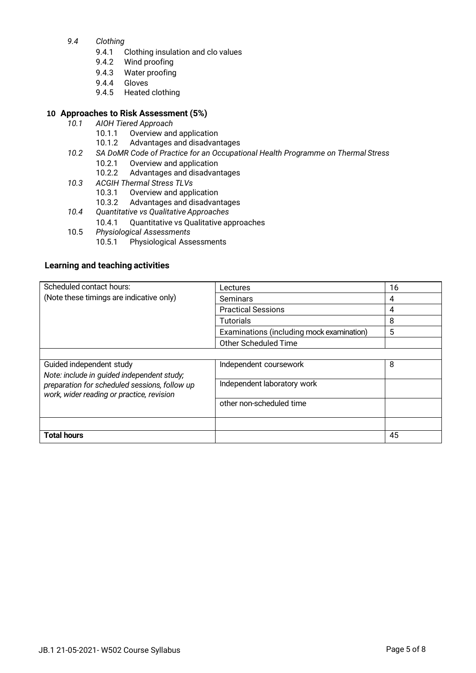- *9.4 Clothing*
	- 9.4.1 Clothing insulation and clo values
	- 9.4.2 Wind proofing
	- 9.4.3 Water proofing
	- 9.4.4 Gloves
	- 9.4.5 Heated clothing

### **10 Approaches to Risk Assessment (5%)**

- *10.1 AIOH Tiered Approach*
	- 10.1.1 Overview and application
	- 10.1.2 Advantages and disadvantages
- *10.2 SA DoMR Code of Practice for an Occupational Health Programme on Thermal Stress*
	- 10.2.1 Overview and application
		- 10.2.2 Advantages and disadvantages
- *10.3 ACGIH Thermal Stress TLVs*
	- 10.3.1 Overview and application
	- 10.3.2 Advantages and disadvantages
- *10.4 Quantitative vs Qualitative Approaches*
- 10.4.1 Quantitative vs Qualitative approaches
- 10.5 *Physiological Assessments*
	- 10.5.1 Physiological Assessments

### **Learning and teaching activities**

| Scheduled contact hours:                                                                   | Lectures                                  | 16 |
|--------------------------------------------------------------------------------------------|-------------------------------------------|----|
| (Note these timings are indicative only)                                                   | Seminars                                  | 4  |
|                                                                                            | <b>Practical Sessions</b>                 | 4  |
|                                                                                            | <b>Tutorials</b>                          | 8  |
|                                                                                            | Examinations (including mock examination) | 5  |
|                                                                                            | Other Scheduled Time                      |    |
|                                                                                            |                                           |    |
| Guided independent study                                                                   | Independent coursework                    | 8  |
| Note: include in guided independent study;                                                 |                                           |    |
| preparation for scheduled sessions, follow up<br>work, wider reading or practice, revision | Independent laboratory work               |    |
|                                                                                            | other non-scheduled time                  |    |
|                                                                                            |                                           |    |
|                                                                                            |                                           |    |
| <b>Total hours</b>                                                                         |                                           | 45 |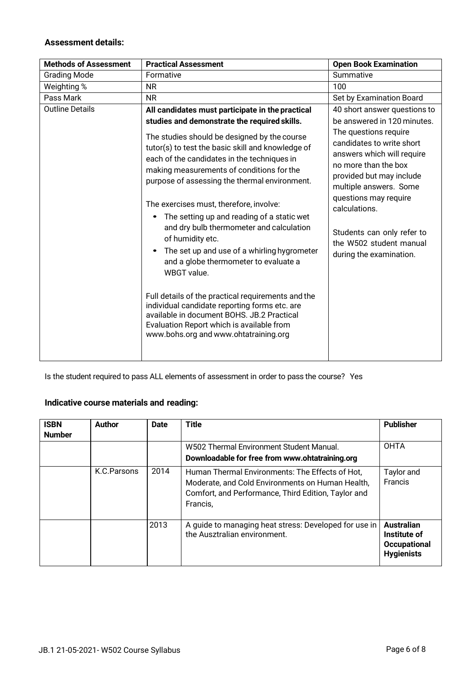## **Assessment details:**

| <b>Methods of Assessment</b> | <b>Practical Assessment</b>                                                                                                                                                                                                                                                                                                                                                                                                                                                                                                                                                                                                                                                                                                                                                                                                                                   | <b>Open Book Examination</b>                                                                                                                                                                                                                                                                                                                                |
|------------------------------|---------------------------------------------------------------------------------------------------------------------------------------------------------------------------------------------------------------------------------------------------------------------------------------------------------------------------------------------------------------------------------------------------------------------------------------------------------------------------------------------------------------------------------------------------------------------------------------------------------------------------------------------------------------------------------------------------------------------------------------------------------------------------------------------------------------------------------------------------------------|-------------------------------------------------------------------------------------------------------------------------------------------------------------------------------------------------------------------------------------------------------------------------------------------------------------------------------------------------------------|
| <b>Grading Mode</b>          | Formative                                                                                                                                                                                                                                                                                                                                                                                                                                                                                                                                                                                                                                                                                                                                                                                                                                                     | Summative                                                                                                                                                                                                                                                                                                                                                   |
| Weighting %                  | <b>NR</b>                                                                                                                                                                                                                                                                                                                                                                                                                                                                                                                                                                                                                                                                                                                                                                                                                                                     | 100                                                                                                                                                                                                                                                                                                                                                         |
| Pass Mark                    | <b>NR</b>                                                                                                                                                                                                                                                                                                                                                                                                                                                                                                                                                                                                                                                                                                                                                                                                                                                     | Set by Examination Board                                                                                                                                                                                                                                                                                                                                    |
| <b>Outline Details</b>       | All candidates must participate in the practical<br>studies and demonstrate the required skills.<br>The studies should be designed by the course<br>tutor(s) to test the basic skill and knowledge of<br>each of the candidates in the techniques in<br>making measurements of conditions for the<br>purpose of assessing the thermal environment.<br>The exercises must, therefore, involve:<br>The setting up and reading of a static wet<br>and dry bulb thermometer and calculation<br>of humidity etc.<br>The set up and use of a whirling hygrometer<br>and a globe thermometer to evaluate a<br>WBGT value.<br>Full details of the practical requirements and the<br>individual candidate reporting forms etc. are<br>available in document BOHS, JB.2 Practical<br>Evaluation Report which is available from<br>www.bohs.org and www.ohtatraining.org | 40 short answer questions to<br>be answered in 120 minutes.<br>The questions require<br>candidates to write short<br>answers which will require<br>no more than the box<br>provided but may include<br>multiple answers. Some<br>questions may require<br>calculations.<br>Students can only refer to<br>the W502 student manual<br>during the examination. |

Is the student required to pass ALL elements of assessment in order to pass the course? Yes

## **Indicative course materials and reading:**

| <b>ISBN</b><br><b>Number</b> | Author      | <b>Date</b> | <b>Title</b>                                                                                                                                                           | <b>Publisher</b>                                                              |
|------------------------------|-------------|-------------|------------------------------------------------------------------------------------------------------------------------------------------------------------------------|-------------------------------------------------------------------------------|
|                              |             |             | W502 Thermal Environment Student Manual.<br>Downloadable for free from www.ohtatraining.org                                                                            | <b>OHTA</b>                                                                   |
|                              | K.C.Parsons | 2014        | Human Thermal Environments: The Effects of Hot,<br>Moderate, and Cold Environments on Human Health,<br>Comfort, and Performance, Third Edition, Taylor and<br>Francis, | Taylor and<br>Francis                                                         |
|                              |             | 2013        | A guide to managing heat stress: Developed for use in<br>the Ausztralian environment.                                                                                  | <b>Australian</b><br>Institute of<br><b>Occupational</b><br><b>Hygienists</b> |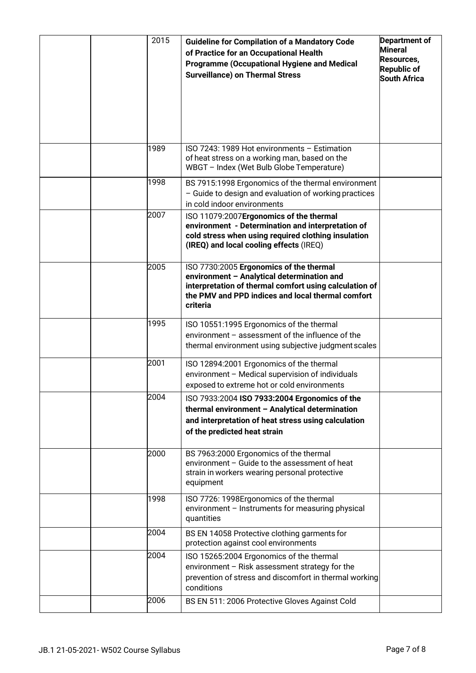|  | 2015 | <b>Guideline for Compilation of a Mandatory Code</b><br>of Practice for an Occupational Health<br><b>Programme (Occupational Hygiene and Medical</b><br><b>Surveillance) on Thermal Stress</b>                   | Department of<br><b>Mineral</b><br>Resources,<br><b>Republic of</b><br><b>South Africa</b> |
|--|------|------------------------------------------------------------------------------------------------------------------------------------------------------------------------------------------------------------------|--------------------------------------------------------------------------------------------|
|  | 1989 | ISO 7243: 1989 Hot environments - Estimation<br>of heat stress on a working man, based on the<br>WBGT - Index (Wet Bulb Globe Temperature)                                                                       |                                                                                            |
|  | 1998 | BS 7915:1998 Ergonomics of the thermal environment<br>- Guide to design and evaluation of working practices<br>in cold indoor environments                                                                       |                                                                                            |
|  | 2007 | ISO 11079:2007Ergonomics of the thermal<br>environment - Determination and interpretation of<br>cold stress when using required clothing insulation<br>(IREQ) and local cooling effects (IREQ)                   |                                                                                            |
|  | 2005 | ISO 7730:2005 Ergonomics of the thermal<br>environment - Analytical determination and<br>interpretation of thermal comfort using calculation of<br>the PMV and PPD indices and local thermal comfort<br>criteria |                                                                                            |
|  | 1995 | ISO 10551:1995 Ergonomics of the thermal<br>environment - assessment of the influence of the<br>thermal environment using subjective judgment scales                                                             |                                                                                            |
|  | 2001 | ISO 12894:2001 Ergonomics of the thermal<br>environment - Medical supervision of individuals<br>exposed to extreme hot or cold environments                                                                      |                                                                                            |
|  | 2004 | ISO 7933:2004 ISO 7933:2004 Ergonomics of the<br>thermal environment - Analytical determination<br>and interpretation of heat stress using calculation<br>of the predicted heat strain                           |                                                                                            |
|  | 2000 | BS 7963:2000 Ergonomics of the thermal<br>environment - Guide to the assessment of heat<br>strain in workers wearing personal protective<br>equipment                                                            |                                                                                            |
|  | 1998 | ISO 7726: 1998Ergonomics of the thermal<br>environment - Instruments for measuring physical<br>quantities                                                                                                        |                                                                                            |
|  | 2004 | BS EN 14058 Protective clothing garments for<br>protection against cool environments                                                                                                                             |                                                                                            |
|  | 2004 | ISO 15265:2004 Ergonomics of the thermal<br>environment - Risk assessment strategy for the<br>prevention of stress and discomfort in thermal working<br>conditions                                               |                                                                                            |
|  | 2006 | BS EN 511: 2006 Protective Gloves Against Cold                                                                                                                                                                   |                                                                                            |